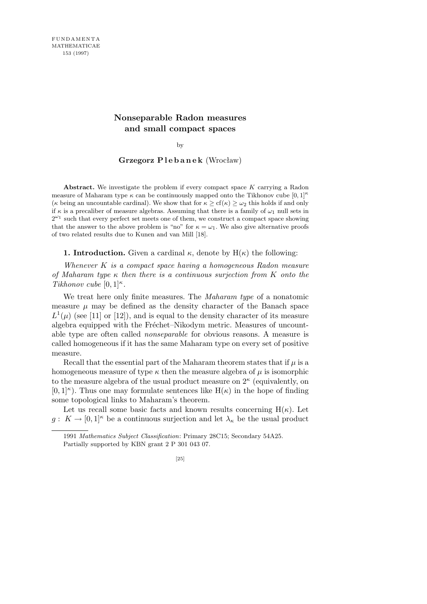# **Nonseparable Radon measures and small compact spaces**

by

## **Grzegorz P l e b a n e k** (Wrocław)

**Abstract.** We investigate the problem if every compact space *K* carrying a Radon measure of Maharam type  $\kappa$  can be continuously mapped onto the Tikhonov cube  $[0, 1]^{\kappa}$ (*κ* being an uncountable cardinal). We show that for  $\kappa >$  cf( $\kappa$ )  $> \omega_2$  this holds if and only if  $\kappa$  is a precaliber of measure algebras. Assuming that there is a family of  $\omega_1$  null sets in  $2^{\omega_1}$  such that every perfect set meets one of them, we construct a compact space showing that the answer to the above problem is "no" for  $\kappa = \omega_1$ . We also give alternative proofs of two related results due to Kunen and van Mill [18].

**1. Introduction.** Given a cardinal  $\kappa$ , denote by  $H(\kappa)$  the following:

*Whenever K is a compact space having a homogeneous Radon measure of Maharam type κ then there is a continuous surjection from K onto the Tikhonov cube*  $[0,1]^{\kappa}$ .

We treat here only finite measures. The *Maharam type* of a nonatomic measure  $\mu$  may be defined as the density character of the Banach space  $L^1(\mu)$  (see [11] or [12]), and is equal to the density character of its measure algebra equipped with the Fréchet–Nikodym metric. Measures of uncountable type are often called *nonseparable* for obvious reasons. A measure is called homogeneous if it has the same Maharam type on every set of positive measure.

Recall that the essential part of the Maharam theorem states that if  $\mu$  is a homogeneous measure of type  $\kappa$  then the measure algebra of  $\mu$  is isomorphic to the measure algebra of the usual product measure on  $2^{\kappa}$  (equivalently, on  $[0,1]^\kappa$ ). Thus one may formulate sentences like  $H(\kappa)$  in the hope of finding some topological links to Maharam's theorem.

Let us recall some basic facts and known results concerning  $H(\kappa)$ . Let  $g: K \to [0,1]^{\kappa}$  be a continuous surjection and let  $\lambda_{\kappa}$  be the usual product

<sup>1991</sup> *Mathematics Subject Classification*: Primary 28C15; Secondary 54A25. Partially supported by KBN grant 2 P 301 043 07.

<sup>[25]</sup>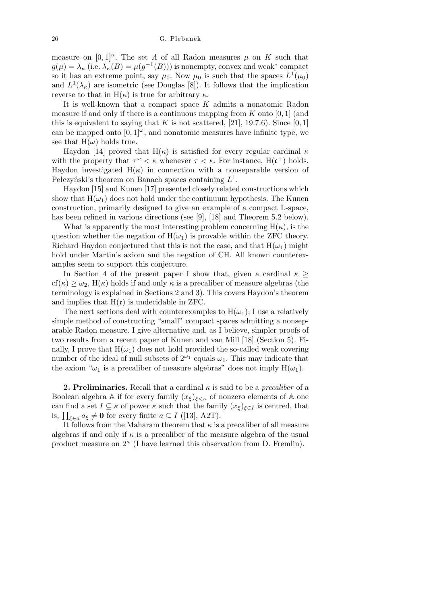measure on  $[0,1]^{\kappa}$ . The set *Λ* of all Radon measures *µ* on *K* such that  $g(\mu) = \lambda_{\kappa}$  (i.e.  $\lambda_{\kappa}(B) = \mu(g^{-1}(B))$ ) is nonempty, convex and weak<sup>\*</sup> compact so it has an extreme point, say  $\mu_0$ . Now  $\mu_0$  is such that the spaces  $L^1(\mu_0)$ and  $L^1(\lambda_{\kappa})$  are isometric (see Douglas [8]). It follows that the implication reverse to that in H(*κ*) is true for arbitrary *κ*.

It is well-known that a compact space *K* admits a nonatomic Radon measure if and only if there is a continuous mapping from *K* onto [0*,* 1] (and this is equivalent to saying that  $K$  is not scattered, [21], 19.7.6). Since [0, 1] can be mapped onto  $[0, 1]^\omega$ , and nonatomic measures have infinite type, we see that  $H(\omega)$  holds true.

Haydon [14] proved that  $H(\kappa)$  is satisfied for every regular cardinal  $\kappa$ with the property that  $\tau^{\omega} < \kappa$  whenever  $\tau < \kappa$ . For instance, H(c<sup>+</sup>) holds. Haydon investigated  $H(\kappa)$  in connection with a nonseparable version of Pełczyński's theorem on Banach spaces containing  $L^1$ .

Haydon [15] and Kunen [17] presented closely related constructions which show that  $H(\omega_1)$  does not hold under the continuum hypothesis. The Kunen construction, primarily designed to give an example of a compact L-space, has been refined in various directions (see [9], [18] and Theorem 5.2 below).

What is apparently the most interesting problem concerning  $H(\kappa)$ , is the question whether the negation of  $H(\omega_1)$  is provable within the ZFC theory. Richard Haydon conjectured that this is not the case, and that  $H(\omega_1)$  might hold under Martin's axiom and the negation of CH. All known counterexamples seem to support this conjecture.

In Section 4 of the present paper I show that, given a cardinal  $\kappa$  *≥*  $cf(\kappa) \geq \omega_2$ ,  $H(\kappa)$  holds if and only  $\kappa$  is a precaliber of measure algebras (the terminology is explained in Sections 2 and 3). This covers Haydon's theorem and implies that  $H(c)$  is undecidable in ZFC.

The next sections deal with counterexamples to  $H(\omega_1)$ ; I use a relatively simple method of constructing "small" compact spaces admitting a nonseparable Radon measure. I give alternative and, as I believe, simpler proofs of two results from a recent paper of Kunen and van Mill [18] (Section 5). Finally, I prove that  $H(\omega_1)$  does not hold provided the so-called weak covering number of the ideal of null subsets of  $2^{\omega_1}$  equals  $\omega_1$ . This may indicate that the axiom " $\omega_1$  is a precaliber of measure algebras" does not imply  $H(\omega_1)$ .

**2. Preliminaries.** Recall that a cardinal  $\kappa$  is said to be a *precaliber* of a Boolean algebra A if for every family  $(x_{\xi})_{\xi<\kappa}$  of nonzero elements of A one can find a set  $I \subseteq \kappa$  of power  $\kappa$  such that the family  $(x_{\xi})_{\xi \in I}$  is centred, that  $\lim_{\delta \to 0} a_{\delta} \neq 0$  for every finite  $a \subseteq I$  ([13], A2T).

It follows from the Maharam theorem that  $\kappa$  is a precaliber of all measure algebras if and only if  $\kappa$  is a precaliber of the measure algebra of the usual product measure on 2*<sup>κ</sup>* (I have learned this observation from D. Fremlin).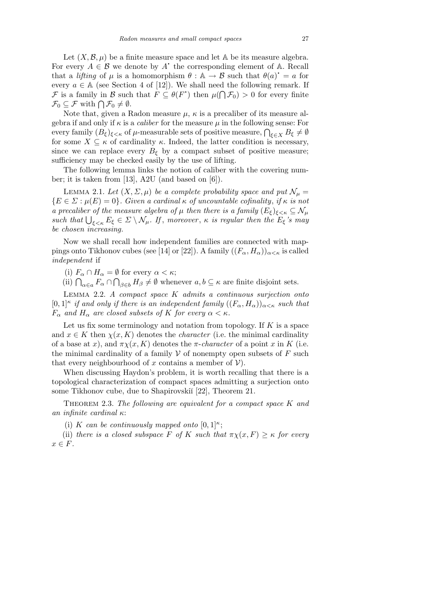Let  $(X, \mathcal{B}, \mu)$  be a finite measure space and let A be its measure algebra. For every  $A \in \mathcal{B}$  we denote by  $A^*$  the corresponding element of  $A$ . Recall that a *lifting* of  $\mu$  is a homomorphism  $\theta : \mathbb{A} \to \mathcal{B}$  such that  $\theta(a)^* = a$  for every  $a \in A$  (see Section 4 of [12]). We shall need the following remark. If *F* is a family in *B* such that  $F \subseteq \theta(F^*)$  then  $\mu(\bigcap \mathcal{F}_0) > 0$  for every finite  $\mathcal{F}_0 \subseteq \mathcal{F}$  with  $\bigcap \mathcal{F}_0 \neq \emptyset$ .

Note that, given a Radon measure  $\mu$ ,  $\kappa$  is a precaliber of its measure algebra if and only if *κ* is a *caliber* for the measure *µ* in the following sense: For  $\epsilon$  geora in and only if  $\kappa$  is a *caliber* for the measure  $\mu$  in the ionowing sense: For every family  $(B_{\xi})_{\xi<\kappa}$  of  $\mu$ -measurable sets of positive measure,  $\bigcap_{\xi\in X}B_{\xi}\neq\emptyset$ for some  $X \subseteq \kappa$  of cardinality  $\kappa$ . Indeed, the latter condition is necessary, since we can replace every  $B_{\xi}$  by a compact subset of positive measure; sufficiency may be checked easily by the use of lifting.

The following lemma links the notion of caliber with the covering number; it is taken from [13], A2U (and based on [6]).

LEMMA 2.1. Let  $(X, \Sigma, \mu)$  be a complete probability space and put  $\mathcal{N}_{\mu} =$  ${E \in \Sigma : \mu(E) = 0}$ *. Given a cardinal*  $\kappa$  *of uncountable cofinality, if*  $\kappa$  *is not a precaliber of the measure algebra of*  $\mu$  *then there is a family*  $(E_{\xi})_{\xi<\kappa} \subseteq \mathcal{N}_{\mu}$ *such that*  $\bigcup_{\xi \leq \kappa} E_{\xi} \in \Sigma \setminus \mathcal{N}_{\mu}$ . If, moreover,  $\kappa$  *is regular then the*  $E_{\xi}$ *'s may be chosen increasing.*

Now we shall recall how independent families are connected with mappings onto Tikhonov cubes (see [14] or [22]). A family  $((F_{\alpha}, H_{\alpha}))_{\alpha < \kappa}$  is called *independent* if

(i)  $F_\alpha \cap H_\alpha = \emptyset$  for every  $\alpha < \kappa$ ;

(i)  $\Gamma_{\alpha} \cap \Gamma_{\alpha} = \emptyset$  for every  $\alpha < \kappa$ ;<br>(ii)  $\bigcap_{\alpha \in a} F_{\alpha} \cap \bigcap_{\beta \in b} H_{\beta} \neq \emptyset$  whenever  $a, b \subseteq \kappa$  are finite disjoint sets.

Lemma 2.2. *A compact space K admits a continuous surjection onto*  $[0,1]$ <sup>*κ*</sup> if and only if there is an independent family  $((F_\alpha, H_\alpha))_{\alpha<\kappa}$  such that  $F_{\alpha}$  *and*  $H_{\alpha}$  *are closed subsets of K for every*  $\alpha < \kappa$ *.* 

Let us fix some terminology and notation from topology. If *K* is a space and  $x \in K$  then  $\chi(x, K)$  denotes the *character* (i.e. the minimal cardinality of a base at *x*), and  $\pi \chi(x, K)$  denotes the *π*-*character* of a point *x* in *K* (i.e. the minimal cardinality of a family  $V$  of nonempty open subsets of  $F$  such that every neighbourhood of  $x$  contains a member of  $V$ ).

When discussing Haydon's problem, it is worth recalling that there is a topological characterization of compact spaces admitting a surjection onto some Tikhonov cube, due to Shapirovskiĭ [22], Theorem 21.

Theorem 2.3. *The following are equivalent for a compact space K and an infinite cardinal κ*:

(i) *K* can be continuously mapped onto  $[0,1]^\kappa$ ;

(ii) *there is a closed subspace*  $F$  *of*  $K$  *such that*  $\pi \chi(x, F) \geq \kappa$  *for every x ∈ F.*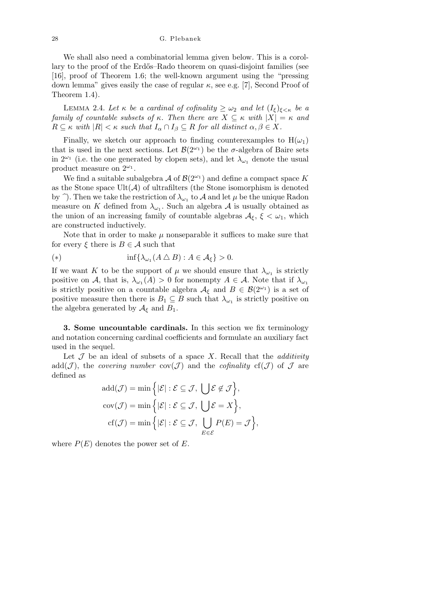28 G. Plebanek

We shall also need a combinatorial lemma given below. This is a corollary to the proof of the Erdős–Rado theorem on quasi-disjoint families (see [16], proof of Theorem 1.6; the well-known argument using the "pressing down lemma" gives easily the case of regular  $\kappa$ , see e.g. [7], Second Proof of Theorem 1.4).

**LEMMA** 2.4. Let  $\kappa$  be a cardinal of cofinality  $\geq \omega_2$  and let  $(I_{\xi})_{\xi < \kappa}$  be a *family of countable subsets of*  $\kappa$ *. Then there are*  $X \subseteq \kappa$  *with*  $|X| = \kappa$  *and*  $R \subseteq \kappa$  *with*  $|R| < \kappa$  *such that*  $I_\alpha \cap I_\beta \subseteq R$  *for all distinct*  $\alpha, \beta \in X$ *.* 

Finally, we sketch our approach to finding counterexamples to  $H(\omega_1)$ that is used in the next sections. Let  $\mathcal{B}(2^{\omega_1})$  be the *σ*-algebra of Baire sets in  $2^{\omega_1}$  (i.e. the one generated by clopen sets), and let  $\lambda_{\omega_1}$  denote the usual product measure on  $2^{\omega_1}$ .

We find a suitable subalgebra  $\mathcal A$  of  $\mathcal B(2^{\omega_1})$  and define a compact space  $K$ as the Stone space  $Ult(A)$  of ultrafilters (the Stone isomorphism is denoted by  $\hat{ }$ ). Then we take the restriction of  $\lambda_{\omega_1}$  to  $\mathcal A$  and let  $\mu$  be the unique Radon measure on *K* defined from  $\lambda_{\omega_1}$ . Such an algebra *A* is usually obtained as the union of an increasing family of countable algebras  $A_{\xi}$ ,  $\xi < \omega_1$ , which are constructed inductively.

Note that in order to make  $\mu$  nonseparable it suffices to make sure that for every  $\xi$  there is  $B \in \mathcal{A}$  such that

(\*) 
$$
\inf \{ \lambda_{\omega_1}(A \bigtriangleup B) : A \in \mathcal{A}_{\xi} \} > 0.
$$

If we want *K* to be the support of  $\mu$  we should ensure that  $\lambda_{\omega_1}$  is strictly positive on *A*, that is,  $\lambda_{\omega_1}(A) > 0$  for nonempty  $A \in \mathcal{A}$ . Note that if  $\lambda_{\omega_1}$ is strictly positive on a countable algebra  $A_{\xi}$  and  $B \in \mathcal{B}(2^{\omega_1})$  is a set of positive measure then there is  $B_1 \subseteq B$  such that  $\lambda_{\omega_1}$  is strictly positive on the algebra generated by  $A_{\xi}$  and  $B_1$ .

**3. Some uncountable cardinals.** In this section we fix terminology and notation concerning cardinal coefficients and formulate an auxiliary fact used in the sequel.

Let  $\mathcal J$  be an ideal of subsets of a space  $X$ . Recall that the *additivity* add(*J*), the *covering number*  $cov(\mathcal{J})$  and the *cofinality* cf(*J*) of  $\mathcal{J}$  are defined as

$$
add(\mathcal{J}) = \min\Big\{ |\mathcal{E}| : \mathcal{E} \subseteq \mathcal{J}, \bigcup \mathcal{E} \notin \mathcal{J} \Big\},\
$$

$$
cov(\mathcal{J}) = \min\Big\{ |\mathcal{E}| : \mathcal{E} \subseteq \mathcal{J}, \bigcup \mathcal{E} = X \Big\},\
$$

$$
cf(\mathcal{J}) = \min\Big\{ |\mathcal{E}| : \mathcal{E} \subseteq \mathcal{J}, \bigcup_{E \in \mathcal{E}} P(E) = \mathcal{J} \Big\},\
$$

where  $P(E)$  denotes the power set of  $E$ .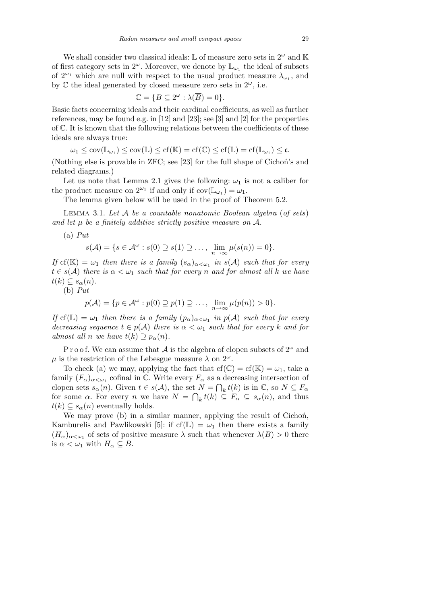We shall consider two classical ideals:  $\mathbb L$  of measure zero sets in  $2^{\omega}$  and  $\mathbb K$ of first category sets in  $2^{\omega}$ . Moreover, we denote by  $\mathbb{L}_{\omega_1}$  the ideal of subsets of  $2^{\omega_1}$  which are null with respect to the usual product measure  $\lambda_{\omega_1}$ , and by  $\mathbb C$  the ideal generated by closed measure zero sets in  $2^\omega$ , i.e.

$$
\mathbb{C} = \{ B \subseteq 2^{\omega} : \lambda(\overline{B}) = 0 \}.
$$

Basic facts concerning ideals and their cardinal coefficients, as well as further references, may be found e.g. in [12] and [23]; see [3] and [2] for the properties of C. It is known that the following relations between the coefficients of these ideals are always true:

$$
\omega_1 \leq \mathrm{cov}(\mathbb{L}_{\omega_1}) \leq \mathrm{cov}(\mathbb{L}) \leq \mathrm{cf}(\mathbb{K}) = \mathrm{cf}(\mathbb{C}) \leq \mathrm{cf}(\mathbb{L}) = \mathrm{cf}(\mathbb{L}_{\omega_1}) \leq \mathfrak{c}.
$$

(Nothing else is provable in ZFC; see [23] for the full shape of Cichoń's and related diagrams.)

Let us note that Lemma 2.1 gives the following:  $\omega_1$  is not a caliber for the product measure on  $2^{\omega_1}$  if and only if  $cov(\mathbb{L}_{\omega_1}) = \omega_1$ .

The lemma given below will be used in the proof of Theorem 5.2.

Lemma 3.1. *Let A be a countable nonatomic Boolean algebra* (*of sets*) *and let µ be a finitely additive strictly positive measure on A.*

(a) *Put*

$$
s(\mathcal{A}) = \{s \in \mathcal{A}^{\omega} : s(0) \supseteq s(1) \supseteq \ldots, \ \lim_{n \to \infty} \mu(s(n)) = 0\}.
$$

*If*  $cf(K) = \omega_1$  *then there is a family*  $(s_\alpha)_{\alpha < \omega_1}$  *in*  $s(\mathcal{A})$  *such that for every*  $t \in s(\mathcal{A})$  *there is*  $\alpha < \omega_1$  *such that for every n and for almost all k we have*  $t(k) \subseteq s_\alpha(n)$ .

(b) *Put*

$$
p(\mathcal{A}) = \{p \in \mathcal{A}^{\omega} : p(0) \supseteq p(1) \supseteq \ldots, \ \lim_{n \to \infty} \mu(p(n)) > 0\}.
$$

*If*  $cf(\mathbb{L}) = \omega_1$  *then there is a family*  $(p_\alpha)_{\alpha < \omega_1}$  *in*  $p(\mathcal{A})$  *such that for every decreasing sequence*  $t \in p(A)$  *there is*  $\alpha < \omega_1$  *such that for every k and for almost all n we have*  $t(k) \supseteq p_{\alpha}(n)$ .

P r o o f. We can assume that A is the algebra of clopen subsets of  $2^{\omega}$  and  $\mu$  is the restriction of the Lebesgue measure  $\lambda$  on  $2^{\omega}$ .

To check (a) we may, applying the fact that  $cf(\mathbb{C}) = cf(\mathbb{K}) = \omega_1$ , take a family  $(F_\alpha)_{\alpha<\omega_1}$  cofinal in C. Write every  $F_\alpha$  as a decreasing intersection of clopen sets  $s_{\alpha}(n)$ . Given  $t \in s(\mathcal{A})$ , the set  $N = \bigcap_{k} t(k)$  is in  $\mathbb{C}$ , so  $N \subseteq F_{\alpha}$ for some  $\alpha$ . For every *n* we have  $N = \bigcap_k t(k) \subseteq F_\alpha \subseteq s_\alpha(n)$ , and thus  $t(k) \subseteq s_\alpha(n)$  eventually holds.

We may prove (b) in a similar manner, applying the result of Cichoń, Kamburelis and Pawlikowski [5]: if  $cf(\mathbb{L}) = \omega_1$  then there exists a family  $(H_{\alpha})_{\alpha<\omega_1}$  of sets of positive measure  $\lambda$  such that whenever  $\lambda(B) > 0$  there is  $\alpha < \omega_1$  with  $H_\alpha \subseteq B$ .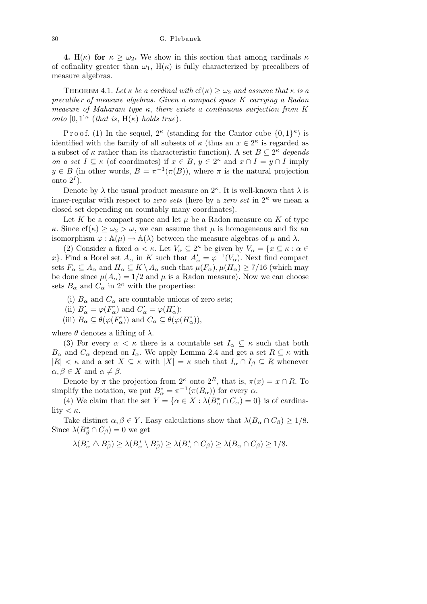**4.** H( $\kappa$ ) for  $\kappa \geq \omega_2$ . We show in this section that among cardinals  $\kappa$ of cofinality greater than  $\omega_1$ , H( $\kappa$ ) is fully characterized by precalibers of measure algebras.

THEOREM 4.1. Let  $\kappa$  be a cardinal with  $cf(\kappa) \geq \omega_2$  and assume that  $\kappa$  is a *precaliber of measure algebras. Given a compact space K carrying a Radon measure of Maharam type κ*, *there exists a continuous surjection from K onto*  $[0,1]$ <sup>*k*</sup> (*that is*,  $H(\kappa)$  *holds true*).

Proof. (1) In the sequel,  $2^{\kappa}$  (standing for the Cantor cube  $\{0,1\}^{\kappa}$ ) is identified with the family of all subsets of  $\kappa$  (thus an  $x \in 2^{\kappa}$  is regarded as a subset of  $\kappa$  rather than its characteristic function). A set  $B \subseteq 2^{\kappa}$  depends *on a set*  $I \subseteq \kappa$  (of coordinates) if  $x \in B$ ,  $y \in 2^{\kappa}$  and  $x \cap I = y \cap I$  imply  $y \in B$  (in other words,  $B = \pi^{-1}(\pi(B))$ , where  $\pi$  is the natural projection onto  $2^I$ ).

Denote by  $\lambda$  the usual product measure on  $2^{\kappa}$ . It is well-known that  $\lambda$  is inner-regular with respect to *zero sets* (here by a *zero set* in 2*<sup>κ</sup>* we mean a closed set depending on countably many coordinates).

Let  $K$  be a compact space and let  $\mu$  be a Radon measure on  $K$  of type *κ*. Since  $cf(\kappa) \geq \omega_2 > \omega$ , we can assume that  $\mu$  is homogeneous and fix an isomorphism  $\varphi : \mathbb{A}(\mu) \to \mathbb{A}(\lambda)$  between the measure algebras of  $\mu$  and  $\lambda$ .

(2) Consider a fixed  $\alpha < \kappa$ . Let  $V_{\alpha} \subseteq 2^{\kappa}$  be given by  $V_{\alpha} = \{x \subseteq \kappa : \alpha \in$ *x*<sup>*}*</sup>. Find a Borel set  $A_{\alpha}$  in *K* such that  $A_{\alpha}^{\dagger} = \varphi^{-1}(V_{\alpha})$ . Next find compact sets  $F_\alpha \subseteq A_\alpha$  and  $H_\alpha \subseteq K \setminus A_\alpha$  such that  $\mu(F_\alpha), \mu(H_\alpha) \geq \frac{7}{16}$  (which may be done since  $\mu(A_{\alpha}) = 1/2$  and  $\mu$  is a Radon measure). Now we can choose sets  $B_{\alpha}$  and  $C_{\alpha}$  in  $2^{\kappa}$  with the properties:

- (i)  $B_\alpha$  and  $C_\alpha$  are countable unions of zero sets;
- (ii)  $B_{\alpha}^{\dagger} = \varphi(F_{\alpha}^{\dagger})$  and  $C_{\alpha}^{\dagger} = \varphi(H_{\alpha}^{\dagger});$
- (iii)  $B_{\alpha} \subseteq \theta(\varphi(F_{\alpha}^{\prime}))$  and  $C_{\alpha} \subseteq \theta(\varphi(H_{\alpha}^{\prime}))$ ,

where  $\theta$  denotes a lifting of  $\lambda$ .

(3) For every  $\alpha < \kappa$  there is a countable set  $I_\alpha \subseteq \kappa$  such that both *B*<sup>*α*</sup> and *C*<sup>*α*</sup> depend on *I*<sup>*α*</sup>. We apply Lemma 2.4 and get a set  $R \subseteq \kappa$  with *|R|*  $\lt$  *κ* and a set *X*  $\subseteq$  *κ* with  $|X| = \kappa$  such that  $I_\alpha \cap I_\beta \subseteq R$  whenever  $\alpha, \beta \in X$  and  $\alpha \neq \beta$ .

Denote by  $\pi$  the projection from  $2^{\kappa}$  onto  $2^R$ , that is,  $\pi(x) = x \cap R$ . To simplify the notation, we put  $B^*_{\alpha} = \pi^{-1}(\pi(B_{\alpha}))$  for every  $\alpha$ .

(4) We claim that the set  $Y = {\alpha \in X : \lambda(B^*_{\alpha} \cap C_{\alpha}) = 0}$  is of cardinality  $< \kappa$ .

Take distinct  $\alpha, \beta \in Y$ . Easy calculations show that  $\lambda(B_\alpha \cap C_\beta) \geq 1/8$ . Since  $\lambda(B_{\beta}^* \cap C_{\beta}) = 0$  we get

$$
\lambda(B_{\alpha}^* \triangle B_{\beta}^*) \ge \lambda(B_{\alpha}^* \setminus B_{\beta}^*) \ge \lambda(B_{\alpha}^* \cap C_{\beta}) \ge \lambda(B_{\alpha} \cap C_{\beta}) \ge 1/8.
$$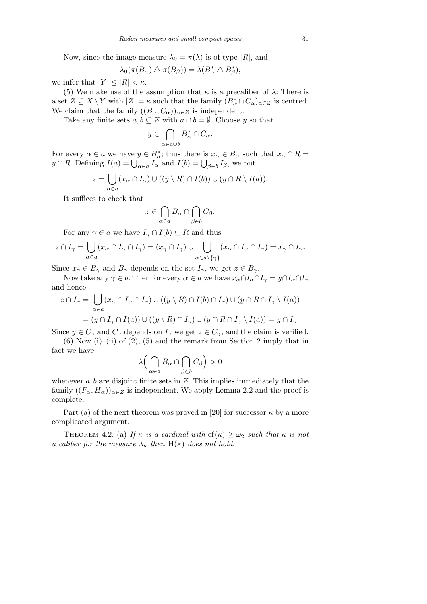Now, since the image measure  $\lambda_0 = \pi(\lambda)$  is of type  $|R|$ , and

$$
\lambda_0(\pi(B_\alpha) \bigtriangleup \pi(B_\beta)) = \lambda(B_\alpha^* \bigtriangleup B_\beta^*),
$$

we infer that  $|Y| \leq |R| < \kappa$ .

(5) We make use of the assumption that  $\kappa$  is a precaliber of  $\lambda$ : There is a set  $Z \subseteq X \setminus Y$  with  $|Z| = \kappa$  such that the family  $(B^*_{\alpha} \cap C_{\alpha})_{\alpha \in Z}$  is centred. We claim that the family  $((B_{\alpha}, C_{\alpha}))_{\alpha \in \mathbb{Z}}$  is independent.

Take any finite sets  $a, b \subseteq Z$  with  $a \cap b = \emptyset$ . Choose *y* so that  $\overline{\phantom{a}}$ 

$$
y \in \bigcap_{\alpha \in a \cup b} B_{\alpha}^* \cap C_{\alpha}.
$$

For every  $\alpha \in a$  we have  $y \in B^*_{\alpha}$ ; thus there is  $x_{\alpha} \in B_{\alpha}$  such that  $x_{\alpha} \cap R =$ *y*  $\alpha \in a$  we nave  $y \in D_{\alpha}$ ; thus there is  $x_{\alpha} \in D_{\alpha}$  such  $y \cap R$ . Defining  $I(a) = \bigcup_{\alpha \in a} I_{\alpha}$  and  $I(b) = \bigcup_{\beta \in b} I_{\beta}$ , we put

$$
z = \bigcup_{\alpha \in a} (x_{\alpha} \cap I_{\alpha}) \cup ((y \setminus R) \cap I(b)) \cup (y \cap R \setminus I(a)).
$$

It suffices to check that

$$
z \in \bigcap_{\alpha \in a} B_{\alpha} \cap \bigcap_{\beta \in b} C_{\beta}.
$$

For any  $\gamma \in a$  we have  $I_{\gamma} \cap I(b) \subseteq R$  and thus

$$
z \cap I_{\gamma} = \bigcup_{\alpha \in a} (x_{\alpha} \cap I_{\alpha} \cap I_{\gamma}) = (x_{\gamma} \cap I_{\gamma}) \cup \bigcup_{\alpha \in a \setminus \{\gamma\}} (x_{\alpha} \cap I_{\alpha} \cap I_{\gamma}) = x_{\gamma} \cap I_{\gamma}.
$$

Since  $x_{\gamma} \in B_{\gamma}$  and  $B_{\gamma}$  depends on the set  $I_{\gamma}$ , we get  $z \in B_{\gamma}$ .

Now take any  $\gamma \in b$ . Then for every  $\alpha \in a$  we have  $x_{\alpha} \cap I_{\alpha} \cap I_{\gamma} = y \cap I_{\alpha} \cap I_{\gamma}$ and hence  $\mathbf{r}$ 

$$
z \cap I_{\gamma} = \bigcup_{\alpha \in a} (x_{\alpha} \cap I_{\alpha} \cap I_{\gamma}) \cup ((y \setminus R) \cap I(b) \cap I_{\gamma}) \cup (y \cap R \cap I_{\gamma} \setminus I(a))
$$
  
=  $(y \cap I_{\gamma} \cap I(a)) \cup ((y \setminus R) \cap I_{\gamma}) \cup (y \cap R \cap I_{\gamma} \setminus I(a)) = y \cap I_{\gamma}$ .

Since  $y \in C_{\gamma}$  and  $C_{\gamma}$  depends on  $I_{\gamma}$  we get  $z \in C_{\gamma}$ , and the claim is verified.

 $(6)$  Now  $(i)$ – $(ii)$  of  $(2)$ ,  $(5)$  and the remark from Section 2 imply that in fact we have  $\overline{\phantom{a}}$  $\sim$  $\mathbf{r}$ 

$$
\lambda \Big(\bigcap_{\alpha \in a} B_{\alpha} \cap \bigcap_{\beta \in b} C_{\beta}\Big) > 0
$$

whenever *a, b* are disjoint finite sets in *Z*. This implies immediately that the family  $((F_\alpha, H_\alpha))_{\alpha \in \mathbb{Z}}$  is independent. We apply Lemma 2.2 and the proof is complete.

Part (a) of the next theorem was proved in [20] for successor  $\kappa$  by a more complicated argument.

THEOREM 4.2. (a) If  $\kappa$  *is a cardinal with*  $cf(\kappa) \geq \omega_2$  *such that*  $\kappa$  *is not a caliber for the measure*  $\lambda_{\kappa}$  *then*  $H(\kappa)$  *does not hold.*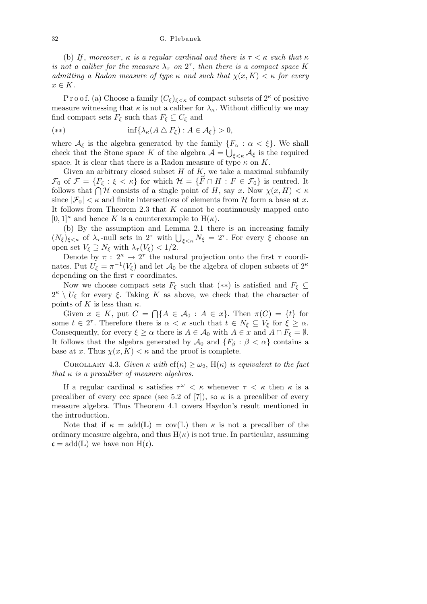(b) *If*, *moreover*,  $\kappa$  *is a regular cardinal and there is*  $\tau < \kappa$  *such that*  $\kappa$ *is not a caliber for the measure*  $\lambda_{\tau}$  *on*  $2^{\tau}$ *, then there is a compact space K admitting a Radon measure of type*  $\kappa$  *and such that*  $\chi(x, K) < \kappa$  for every *x ∈ K.*

P r o o f. (a) Choose a family  $(C_{\xi})_{\xi<\kappa}$  of compact subsets of  $2^{\kappa}$  of positive measure witnessing that  $\kappa$  is not a caliber for  $\lambda_{\kappa}$ . Without difficulty we may find compact sets  $F_{\xi}$  such that  $F_{\xi} \subseteq C_{\xi}$  and

$$
(**) \qquad \inf \{ \lambda_{\kappa}(A \bigtriangleup F_{\xi}) : A \in \mathcal{A}_{\xi} \} > 0,
$$

where  $\mathcal{A}_{\xi}$  is the algebra generated by the family  $\{F_{\alpha} : \alpha < \xi\}$ . We shall check that the Stone space *K* of the algebra  $\mathcal{A} = \bigcup_{\xi < \kappa} \mathcal{A}_{\xi}$  is the required space. It is clear that there is a Radon measure of type  $\kappa$  on  $K$ .

Given an arbitrary closed subset *H* of *K*, we take a maximal subfamily  $\mathcal{F}_0$  of  $\mathcal{F} = \{F_\xi : \xi < \kappa\}$  for which  $\mathcal{H} = \{\hat{F} \cap H : F \in \mathcal{F}_0\}$  is centred. It  $\mathcal{F}_0$  or  $\mathcal{F} = \{F_{\xi} : \xi \leq \kappa\}$  for which  $\mathcal{H} = \{F \mid H : F \in \mathcal{F}_0\}$  is centred. It follows that  $\bigcap \mathcal{H}$  consists of a single point of *H*, say *x*. Now  $\chi(x, H) \leq \kappa$ since  $|\mathcal{F}_0| < \kappa$  and finite intersections of elements from  $\mathcal{H}$  form a base at *x*. It follows from Theorem 2.3 that *K* cannot be continuously mapped onto  $[0,1]$ <sup> $\kappa$ </sup> and hence *K* is a counterexample to  $H(\kappa)$ .

(b) By the assumption and Lemma 2.1 there is an increasing family (*N*<sub>ξ</sub>)<sub>ξ<κ</sub> of  $\lambda_{\tau}$ -null sets in 2<sup>*τ*</sup> with  $\bigcup_{\xi<\kappa} N_{\xi} = 2^{\tau}$ . For every  $\xi$  choose an open set  $V_{\xi} \supseteq N_{\xi}$  with  $\lambda_{\tau}(V_{\xi}) < 1/2$ .

Denote by  $\pi$ :  $2^{\kappa} \rightarrow 2^{\tau}$  the natural projection onto the first  $\tau$  coordinates. Put  $U_{\xi} = \pi^{-1}(V_{\xi})$  and let  $\mathcal{A}_0$  be the algebra of clopen subsets of  $2^{\kappa}$ depending on the first *τ* coordinates.

Now we choose compact sets  $F_{\xi}$  such that  $(**)$  is satisfied and  $F_{\xi} \subseteq$  $2^{\kappa} \setminus U_{\xi}$  for every  $\xi$ . Taking *K* as above, we check that the character of points of *K* is less than  $\kappa$ .  $\overline{a}$ 

Given  $x \in K$ , put  $C =$  ${A \in \mathcal{A}_0 : A \in x}$ . Then  $\pi(C) = \{t\}$  for some  $t \in 2^{\tau}$ . Therefore there is  $\alpha < \kappa$  such that  $t \in N_{\xi} \subseteq V_{\xi}$  for  $\xi \geq \alpha$ . Consequently, for every  $\xi \geq \alpha$  there is  $A \in \mathcal{A}_0$  with  $A \in \mathcal{x}$  and  $A \cap F_{\xi} = \emptyset$ . It follows that the algebra generated by  $\mathcal{A}_0$  and  $\{F_\beta : \beta < \alpha\}$  contains a base at *x*. Thus  $\chi(x, K) < \kappa$  and the proof is complete.

COROLLARY 4.3. *Given*  $\kappa$  *with*  $cf(\kappa) \geq \omega_2$ ,  $H(\kappa)$  *is equivalent to the fact that κ is a precaliber of measure algebras.*

If a regular cardinal  $\kappa$  satisfies  $\tau^{\omega} < \kappa$  whenever  $\tau < \kappa$  then  $\kappa$  is a precaliber of every ccc space (see 5.2 of [7]), so  $\kappa$  is a precaliber of every measure algebra. Thus Theorem 4.1 covers Haydon's result mentioned in the introduction.

Note that if  $\kappa = \text{add}(\mathbb{L}) = \text{cov}(\mathbb{L})$  then  $\kappa$  is not a precaliber of the ordinary measure algebra, and thus  $H(\kappa)$  is not true. In particular, assuming  $\mathfrak{c} = \text{add}(\mathbb{L})$  we have non  $H(\mathfrak{c})$ .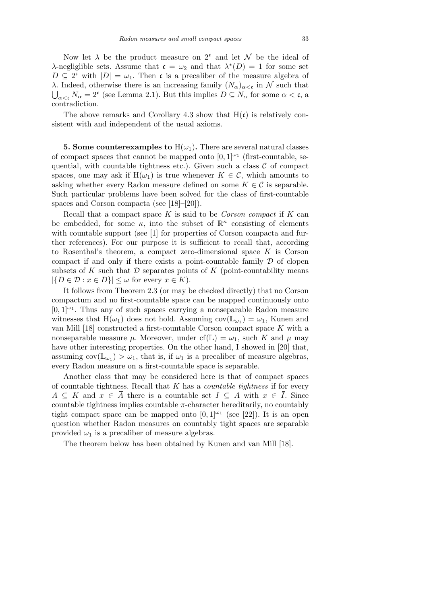Now let  $\lambda$  be the product measure on  $2^c$  and let  $\mathcal N$  be the ideal of *λ*-negliglible sets. Assume that  $c = \omega_2$  and that  $\lambda^*(D) = 1$  for some set  $D \subseteq 2^c$  with  $|D| = \omega_1$ . Then c is a precaliber of the measure algebra of *λ*. Indeed, otherwise there is an increasing family  $(N_{\alpha})_{\alpha < \mathfrak{c}}$  in *N* such that  $N_{\alpha}$  = 2<sup>c</sup> (see Lemma 2.1). But this implies  $D \subseteq N_{\alpha}$  for some  $\alpha < \mathfrak{c}$ , a contradiction.

The above remarks and Corollary 4.3 show that  $H(c)$  is relatively consistent with and independent of the usual axioms.

**5. Some counterexamples to**  $H(\omega_1)$ . There are several natural classes of compact spaces that cannot be mapped onto  $[0,1]^{\omega_1}$  (first-countable, sequential, with countable tightness etc.). Given such a class  $C$  of compact spaces, one may ask if  $H(\omega_1)$  is true whenever  $K \in \mathcal{C}$ , which amounts to asking whether every Radon measure defined on some  $K \in \mathcal{C}$  is separable. Such particular problems have been solved for the class of first-countable spaces and Corson compacta (see [18]–[20]).

Recall that a compact space *K* is said to be *Corson compact* if *K* can be embedded, for some  $\kappa$ , into the subset of  $\mathbb{R}^{\kappa}$  consisting of elements with countable support (see [1] for properties of Corson compacta and further references). For our purpose it is sufficient to recall that, according to Rosenthal's theorem, a compact zero-dimensional space *K* is Corson compact if and only if there exists a point-countable family *D* of clopen subsets of  $K$  such that  $D$  separates points of  $K$  (point-countability means  $|\{D \in \mathcal{D} : x \in D\}| \leq \omega$  for every  $x \in K$ ).

It follows from Theorem 2.3 (or may be checked directly) that no Corson compactum and no first-countable space can be mapped continuously onto  $[0,1]^{(\omega)}$ . Thus any of such spaces carrying a nonseparable Radon measure witnesses that  $H(\omega_1)$  does not hold. Assuming  $cov(\mathbb{L}_{\omega_1}) = \omega_1$ , Kunen and van Mill [18] constructed a first-countable Corson compact space *K* with a nonseparable measure  $\mu$ . Moreover, under cf( $\mathbb{L}$ ) =  $\omega_1$ , such K and  $\mu$  may have other interesting properties. On the other hand, I showed in [20] that, assuming  $cov(\mathbb{L}_{\omega_1}) > \omega_1$ , that is, if  $\omega_1$  is a precaliber of measure algebras, every Radon measure on a first-countable space is separable.

Another class that may be considered here is that of compact spaces of countable tightness. Recall that *K* has a *countable tightness* if for every  $A \subseteq K$  and  $x \in \overline{A}$  there is a countable set  $I \subseteq A$  with  $x \in \overline{I}$ . Since countable tightness implies countable  $\pi$ -character hereditarily, no countably tight compact space can be mapped onto  $[0,1]^{2}$  (see [22]). It is an open question whether Radon measures on countably tight spaces are separable provided  $\omega_1$  is a precaliber of measure algebras.

The theorem below has been obtained by Kunen and van Mill [18].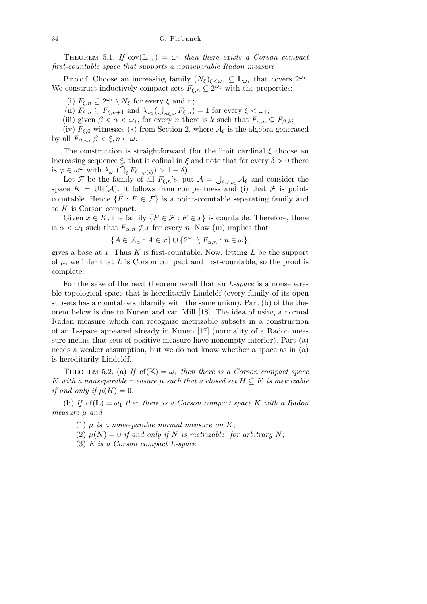THEOREM 5.1. *If*  $cov(\mathbb{L}_{\omega_1}) = \omega_1$  *then there exists a Corson compact first-countable space that supports a nonseparable Radon measure.*

P r o o f. Choose an increasing family  $(N_{\xi})_{\xi < \omega_1} \subseteq \mathbb{L}_{\omega_1}$  that covers  $2^{\omega_1}$ . We construct inductively compact sets  $F_{\xi,n} \subseteq 2^{\omega_1}$  with the properties:

(i)  $F_{\xi,n} \subseteq 2^{\omega_1} \setminus N_{\xi}$  for every  $\xi$  and *n*;

(ii)  $F_{\xi,n} \subseteq F_{\xi,n+1}$  and  $\lambda_{\omega_1}(\bigcup_{n \in \omega} F_{\xi,n}) = 1$  for every  $\xi < \omega_1$ ;

(iii) given  $\beta < \alpha < \omega_1$ , for every *n* there is *k* such that  $F_{\alpha,n} \subseteq F_{\beta,k}$ ;

(iv)  $F_{\xi,0}$  witnesses (\*) from Section 2, where  $\mathcal{A}_{\xi}$  is the algebra generated by all  $F_{\beta,n}$ ,  $\beta < \xi, n \in \omega$ .

The construction is straightforward (for the limit cardinal *ξ* choose an increasing sequence  $\xi_i$  that is cofinal in  $\xi$  and note that for every  $\delta > 0$  there is  $\varphi \in \omega^{\omega}$  with  $\lambda_{\omega_1}$ (  $\zeta_i$  $F_{\xi_i, \varphi(i)}) > 1 - \delta$ . S

Let *F* be the family of all  $F_{\xi,n}$ 's, put  $\mathcal{A} =$ *ξ<ω*<sup>1</sup> *A<sup>ξ</sup>* and consider the space  $K = \text{Ult}(\mathcal{A})$ . It follows from compactness and (i) that  $\mathcal F$  is pointcountable. Hence  $\{\widehat{F}: F \in \mathcal{F}\}\$ is a point-countable separating family and so *K* is Corson compact.

Given  $x \in K$ , the family  $\{F \in \mathcal{F} : F \in \mathcal{x}\}$  is countable. Therefore, there is  $\alpha < \omega_1$  such that  $F_{\alpha,n} \notin x$  for every *n*. Now (iii) implies that

$$
\{A\in\mathcal{A}_{\alpha}:A\in x\}\cup\{2^{\omega_1}\setminus F_{\alpha,n}:n\in\omega\},\
$$

gives a base at *x*. Thus *K* is first-countable. Now, letting *L* be the support of  $\mu$ , we infer that  $L$  is Corson compact and first-countable, so the proof is complete.

For the sake of the next theorem recall that an *L-space* is a nonseparable topological space that is hereditarily Lindelöf (every family of its open subsets has a countable subfamily with the same union). Part (b) of the theorem below is due to Kunen and van Mill [18]. The idea of using a normal Radon measure which can recognize metrizable subsets in a construction of an L-space appeared already in Kunen [17] (normality of a Radon measure means that sets of positive measure have nonempty interior). Part (a) needs a weaker assumption, but we do not know whether a space as in (a) is hereditarily Lindelöf.

THEOREM 5.2. (a) If  $cf(K) = \omega_1$  then there is a Corson compact space *K* with a nonseparable measure  $\mu$  such that a closed set  $H \subseteq K$  is metrizable *if and only if*  $\mu(H) = 0$ .

(b) If  $cf(\mathbb{L}) = \omega_1$  then there is a Corson compact space K with a Radon *measure µ and*

(1)  $\mu$  *is a nonseparable normal measure on K*;

- (2)  $\mu(N) = 0$  *if and only if N is metrizable, for arbitrary N*;
- (3) *K is a Corson compact L-space.*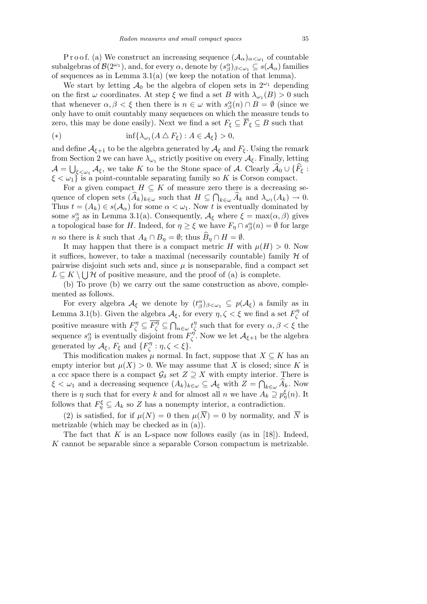P r o o f. (a) We construct an increasing sequence  $(\mathcal{A}_{\alpha})_{\alpha<\omega_1}$  of countable subalgebras of  $\mathcal{B}(2^{\omega_1})$ , and, for every  $\alpha$ , denote by  $(s_\beta^\alpha)_{\beta<\omega_1}\subseteq s(\mathcal{A}_\alpha)$  families of sequences as in Lemma 3.1(a) (we keep the notation of that lemma).

We start by letting  $A_0$  be the algebra of clopen sets in  $2^{\omega_1}$  depending on the first  $\omega$  coordinates. At step  $\xi$  we find a set *B* with  $\lambda_{\omega_1}(B) > 0$  such that whenever  $\alpha, \beta < \xi$  then there is  $n \in \omega$  with  $s^{\alpha}_{\beta}(n) \cap B = \emptyset$  (since we only have to omit countably many sequences on which the measure tends to zero, this may be done easily). Next we find a set  $F_{\xi} \subseteq \overline{F}_{\xi} \subseteq B$  such that

$$
(*) \qquad \inf \{ \lambda_{\omega_1}(A \bigtriangleup F_{\xi}) : A \in \mathcal{A}_{\xi} \} > 0,
$$

and define  $\mathcal{A}_{\xi+1}$  to be the algebra generated by  $\mathcal{A}_{\xi}$  and  $F_{\xi}$ . Using the remark from Section 2 we can have  $\lambda_{\omega_1}$  strictly positive on every  $\mathcal{A}_{\xi}$ . Finally, letting  $\mathcal{A} = \bigcup_{\xi \leq \omega_1} \mathcal{A}_{\xi}$ , we take *K* to be the Stone space of *A*. Clearly  $\widehat{\mathcal{A}}_0 \cup \{\widehat{F}_{\xi} :$  $\xi < \omega_1$ <sup>}</sup> is a point-countable separating family so *K* is Corson compact.

For a given compact  $H \subseteq K$  of measure zero there is a decreasing sequence of clopen sets  $(\widehat{A}_k)_{k \in \omega}$  such that  $H \subseteq \bigcap_{k \in \omega} \widehat{A}_k$  and  $\lambda_{\omega_1}(A_k) \to 0$ . Thus  $t = (A_k) \in s(\mathcal{A}_\alpha)$  for some  $\alpha < \omega_1$ . Now t is eventually dominated by some  $s^{\alpha}_{\beta}$  as in Lemma 3.1(a). Consequently,  $\mathcal{A}_{\xi}$  where  $\xi = \max(\alpha, \beta)$  gives a topological base for *H*. Indeed, for  $\eta \geq \xi$  we have  $F_{\eta} \cap s^{\alpha}_{\beta}(n) = \emptyset$  for large *n* so there is *k* such that  $A_k \cap B_\eta = \emptyset$ ; thus  $B_\eta \cap H = \emptyset$ .

It may happen that there is a compact metric *H* with  $\mu(H) > 0$ . Now it suffices, however, to take a maximal (necessarily countable) family  $H$  of pairwise disjoint such sets and, since  $\mu$  is nonseparable, find a compact set  $L \subseteq K \setminus \bigcup \mathcal{H}$  of positive measure, and the proof of (a) is complete.

(b) To prove (b) we carry out the same construction as above, complemented as follows.

For every algebra  $\mathcal{A}_{\xi}$  we denote by  $(t_{\beta}^{\alpha})_{\beta < \omega_1} \subseteq p(\mathcal{A}_{\xi})$  a family as in Lemma 3.1(b). Given the algebra  $\mathcal{A}_{\xi}$ , for every  $\eta, \zeta < \xi$  we find a set  $F_{\zeta}^{\eta}$ *ζ* of positive measure with  $F^{\eta}_{\zeta} \subseteq \overline{F^{\eta}_{\zeta}} \subseteq$  $\tilde{\phantom{a}}$ *n∈ω t η ζ* such that for every *α, β < ξ* the sequence  $s^{\alpha}_{\beta}$  is eventually disjoint from  $F^{\eta}_{\zeta}$ *ζ* . Now we let *Aξ*+1 be the algebra generated by  $\mathcal{A}_{\xi}$ ,  $F_{\xi}$  and  $\{F_{\zeta}^{\eta}$ *ζ* : *η, ζ < ξ}*.

This modification makes  $\mu$  normal. In fact, suppose that  $X \subseteq K$  has an empty interior but  $\mu(X) > 0$ . We may assume that X is closed; since K is a ccc space there is a compact  $\mathcal{G}_{\delta}$  set  $Z \supseteq X$  with empty interior. There is  $\xi < \omega_1$  and a decreasing sequence  $(A_k)_{k \in \omega} \subseteq \mathcal{A}_{\xi}$  with  $Z = \bigcap_{k \in \omega} \widehat{A}_k$ . Now there is *η* such that for every *k* and for almost all *n* we have  $A_k \supseteq p_{\eta}^{\xi}(n)$ . It follows that  $F_{\eta}^{\xi} \subseteq A_k$  so *Z* has a nonempty interior, a contradiction.

(2) is satisfied, for if  $\mu(N) = 0$  then  $\mu(\overline{N}) = 0$  by normality, and  $\overline{N}$  is metrizable (which may be checked as in (a)).

The fact that  $K$  is an L-space now follows easily (as in [18]). Indeed, *K* cannot be separable since a separable Corson compactum is metrizable.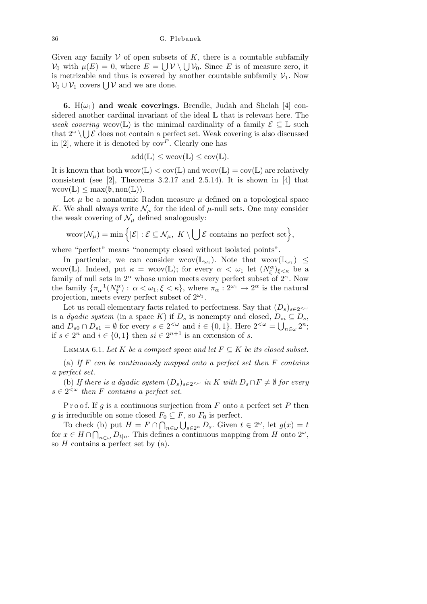Given any family  $V$  of open subsets of  $K$ , there is a countable subfamily *V*<sub>0</sub> with  $\mu(E) = 0$ , where  $E = \bigcup \mathcal{V} \setminus \bigcup \mathcal{V}_0$ . Since *E* is of measure zero, it is metrizable and thus is covered by another countable subfamily  $V_1$ . Now *V*<sub>0</sub> ∪ *V*<sub>1</sub> covers  $\bigcup$  *V* and we are done.

**6.**  $H(\omega_1)$  and weak coverings. Brendle, Judah and Shelah [4] considered another cardinal invariant of the ideal  $\mathbb L$  that is relevant here. The *weak covering* wcov(L) is the minimal cardinality of a family  $\mathcal{E} \subseteq \mathbb{L}$  such that  $2^{\omega} \setminus \bigcup \mathcal{E}$  does not contain a perfect set. Weak covering is also discussed in  $[2]$ , where it is denoted by  $cov^P$ . Clearly one has

$$
\mathrm{add}(\mathbb{L}) \leq \mathrm{wcov}(\mathbb{L}) \leq \mathrm{cov}(\mathbb{L}).
$$

It is known that both  $wcov(\mathbb{L}) < cov(\mathbb{L})$  and  $wcov(\mathbb{L}) = cov(\mathbb{L})$  are relatively consistent (see [2], Theorems 3.2.17 and 2.5.14). It is shown in [4] that  $wcov(\mathbb{L}) \leq max(\mathfrak{b}, \text{non}(\mathbb{L})).$ 

Let  $\mu$  be a nonatomic Radon measure  $\mu$  defined on a topological space *K*. We shall always write  $\mathcal{N}_{\mu}$  for the ideal of  $\mu$ -null sets. One may consider the weak covering of  $\mathcal{N}_{\mu}$  defined analogously:

$$
\text{wcov}(\mathcal{N}_{\mu}) = \min\Big\{|\mathcal{E}| : \mathcal{E} \subseteq \mathcal{N}_{\mu}, \ K \setminus \bigcup \mathcal{E} \text{ contains no perfect set}\Big\},\
$$

where "perfect" means "nonempty closed without isolated points".

In particular, we can consider wcov $(\mathbb{L}_{\omega_1})$ . Note that wcov $(\mathbb{L}_{\omega_1}) \leq$ wcov(L). Indeed, put  $\kappa = \text{wcov}(\mathbb{L})$ ; for every  $\alpha < \omega_1$  let  $(N_{\xi}^{\alpha})_{\xi < \kappa}$  be a family of null sets in  $2^{\alpha}$  whose union meets every perfect subset of  $2^{\alpha}$ . Now the family  ${\{\pi_{\alpha}^{-1}(N_{\xi}^{\alpha}) : \alpha < \omega_1, \xi < \kappa\}}$ , where  $\pi_{\alpha} : 2^{\omega_1} \to 2^{\alpha}$  is the natural projection, meets every perfect subset of 2*<sup>ω</sup>*<sup>1</sup> .

Let us recall elementary facts related to perfectness. Say that  $(D_s)_{s\in 2^{&\omega}}$ is a *dyadic system* (in a space *K*) if  $D_s$  is nonempty and closed,  $D_{si} \subseteq D_s$ , and  $D_{s0} \cap D_{s1} = \emptyset$  for every  $s \in 2^{<\omega}$  and  $i \in \{0,1\}$ . Here  $2^{<\omega} = \bigcup_{n \in \omega} 2^n$ ; if  $s \in 2^n$  and  $i \in \{0, 1\}$  then  $si \in 2^{n+1}$  is an extension of *s*.

LEMMA 6.1. Let K be a compact space and let  $F \subseteq K$  be its closed subset.

(a) *If F can be continuously mapped onto a perfect set then F contains a perfect set.*

(b) If there is a dyadic system  $(D_s)_{s \in 2} \sim \infty$  in K with  $D_s \cap F \neq \emptyset$  for every  $s \in 2^{\lt \omega}$  then *F* contains a perfect set.

P r o o f. If *g* is a continuous surjection from *F* onto a perfect set *P* then *g* is irreducible on some closed  $F_0 \subseteq F$ , so  $F_0$  is perfect.

To check (b) put  $H = F \cap \bigcap_{n \in \omega} \bigcup_{s \in 2^n} D_s$ . Given  $t \in 2^\omega$ , let  $g(x) = t$ for  $x \in H \cap \bigcap_{n \in \omega} D_{t|n}$ . This defines a continuous mapping from *H* onto  $2^{\omega}$ , so *H* contains a perfect set by (a).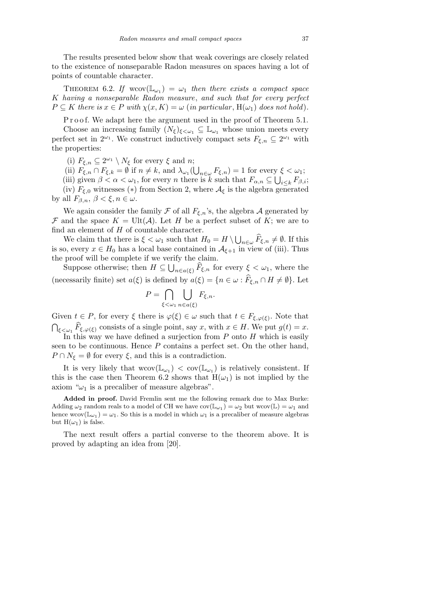The results presented below show that weak coverings are closely related to the existence of nonseparable Radon measures on spaces having a lot of points of countable character.

THEOREM 6.2. If  $wcov(\mathbb{L}_{\omega_1}) = \omega_1$  then there exists a compact space *K having a nonseparable Radon measure*, *and such that for every perfect*  $P \subseteq K$  *there is*  $x \in P$  *with*  $\chi(x, K) = \omega$  (*in particular*,  $H(\omega_1)$  *does not hold*).

P r o o f. We adapt here the argument used in the proof of Theorem 5.1.

Choose an increasing family  $(N_{\xi})_{\xi \leq \omega_1} \subseteq \mathbb{L}_{\omega_1}$  whose union meets every perfect set in  $2^{\omega_1}$ . We construct inductively compact sets  $F_{\xi,n} \subseteq 2^{\omega_1}$  with the properties:

(i)  $F_{\xi,n} \subseteq 2^{\omega_1} \setminus N_{\xi}$  for every  $\xi$  and *n*;

(ii) 
$$
F_{\xi,n} \cap F_{\xi,k} = \emptyset
$$
 if  $n \neq k$ , and  $\lambda_{\omega_1}(\bigcup_{n \in \omega} F_{\xi,n}) = 1$  for every  $\xi < \omega_1$ ;

(ii)  $r_{\xi,n} + r_{\xi,k} = \nu \ln n \neq \kappa$ , and  $\lambda \omega_1(\bigcup_{n \in \omega} r_{\xi,n}) = 1$  for every  $n \neq \kappa$ ,  $\omega_1$ , for every *n* there is *k* such that  $F_{\alpha,n} \subseteq$ *i≤k Fβ,i*; (iv)  $F_{\xi,0}$  witnesses (\*) from Section 2, where  $\mathcal{A}_{\xi}$  is the algebra generated

by all  $F_{\beta,n}$ ,  $\beta < \xi, n \in \omega$ .

We again consider the family  $\mathcal F$  of all  $F_{\xi,n}$ 's, the algebra  $\mathcal A$  generated by *F* and the space  $K = \text{Ult}(\mathcal{A})$ . Let *H* be a perfect subset of *K*; we are to find an element of *H* of countable character. S

We claim that there is  $\xi < \omega_1$  such that  $H_0 = H \setminus$  $n \in \omega$   $\widehat{F}_{\xi,n} \neq \emptyset$ . If this is so, every  $x \in H_0$  has a local base contained in  $A_{\xi+1}$  in view of (iii). Thus the proof will be complete if we verify the claim.

Suppose otherwise; then  $H \subseteq \bigcup_{n \in a(\xi)} \widehat{F}_{\xi,n}$  for every  $\xi < \omega_1$ , where the (necessarily finite) set  $a(\xi)$  is defined by  $a(\xi) = \{n \in \omega : \widehat{F}_{\xi,n} \cap H \neq \emptyset\}$ *.* Let

$$
P = \bigcap_{\xi < \omega_1} \bigcup_{n \in a(\xi)} F_{\xi, n}.
$$

Given  $t \in P$ , for every  $\xi$  there is  $\varphi(\xi) \in \omega$  such that  $t \in F_{\xi, \varphi(\xi)}$ . Note that  $\widehat{F}_{\xi,\varphi(\xi)}$  consists of a single point, say *x*, with  $x \in H$ . We put  $g(t) = x$ . In this way we have defined a surjection from *P* onto *H* which is easily

seen to be continuous. Hence *P* contains a perfect set. On the other hand,  $P \cap N_{\xi} = \emptyset$  for every  $\xi$ , and this is a contradiction.

It is very likely that  $wcov(\mathbb{L}_{\omega_1}) < cov(\mathbb{L}_{\omega_1})$  is relatively consistent. If this is the case then Theorem 6.2 shows that  $H(\omega_1)$  is not implied by the axiom " $\omega_1$  is a precaliber of measure algebras".

**Added in proof.** David Fremlin sent me the following remark due to Max Burke: Adding  $\omega_2$  random reals to a model of CH we have  $cov(\mathbb{L}_{\omega_1}) = \omega_2$  but wcov $(\mathbb{L}) = \omega_1$  and hence  $wcov(\mathbb{L}_{\omega_1}) = \omega_1$ . So this is a model in which  $\omega_1$  is a precaliber of measure algebras but  $H(\omega_1)$  is false.

The next result offers a partial converse to the theorem above. It is proved by adapting an idea from [20].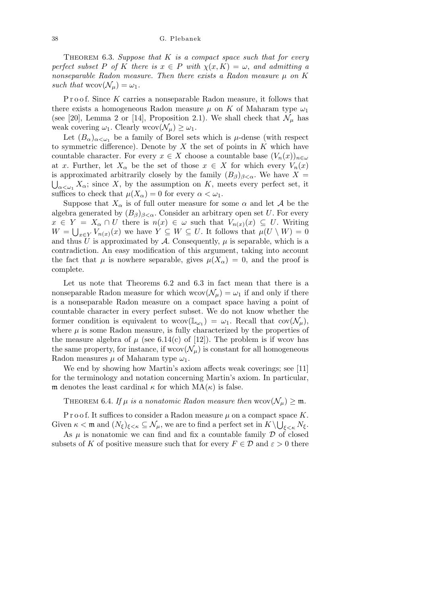Theorem 6.3. *Suppose that K is a compact space such that for every perfect subset P of K there is*  $x \in P$  *with*  $\chi(x, K) = \omega$ *, and admitting a nonseparable Radon measure. Then there exists a Radon measure*  $\mu$  *on*  $K$ *such that*  $wcov(\mathcal{N}_u) = \omega_1$ .

Proof. Since K carries a nonseparable Radon measure, it follows that there exists a homogeneous Radon measure  $\mu$  on *K* of Maharam type  $\omega_1$ (see [20], Lemma 2 or [14], Proposition 2.1). We shall check that  $\mathcal{N}_{\mu}$  has weak covering  $\omega_1$ . Clearly wcov $(\mathcal{N}_\mu) \geq \omega_1$ .

Let  $(B_\alpha)_{\alpha<\omega_1}$  be a family of Borel sets which is *µ*-dense (with respect to symmetric difference). Denote by *X* the set of points in *K* which have countable character. For every  $x \in X$  choose a countable base  $(V_n(x))_{n \in \omega}$ at *x*. Further, let  $X_\alpha$  be the set of those  $x \in X$  for which every  $V_n(x)$ is approximated arbitrarily closely by the family  $(B_\beta)_{\beta<\alpha}$ . We have  $X=$  $\alpha \ll \omega_1 X_\alpha$ ; since *X*, by the assumption on *K*, meets every perfect set, it suffices to check that  $\mu(X_{\alpha}) = 0$  for every  $\alpha < \omega_1$ .

Suppose that  $X_\alpha$  is of full outer measure for some  $\alpha$  and let  $\mathcal A$  be the algebra generated by  $(B_\beta)_{\beta<\alpha}$ . Consider an arbitrary open set *U*. For every  $x \in Y = X_\alpha \cap U$  there is  $n(x) \in \omega$  such that  $V_{n(x)}(x) \subseteq U$ . Writing  $W = \bigcup_{x \in Y} V_{n(x)}(x)$  we have  $Y \subseteq W \subseteq U$ . It follows that  $\mu(U \setminus W) = 0$ and thus  $\bar{U}$  is approximated by  $\bar{\mathcal{A}}$ . Consequently,  $\mu$  is separable, which is a contradiction. An easy modification of this argument, taking into account the fact that  $\mu$  is nowhere separable, gives  $\mu(X_{\alpha}) = 0$ , and the proof is complete.

Let us note that Theorems 6.2 and 6.3 in fact mean that there is a nonseparable Radon measure for which  $wcov(\mathcal{N}_\mu) = \omega_1$  if and only if there is a nonseparable Radon measure on a compact space having a point of countable character in every perfect subset. We do not know whether the former condition is equivalent to  $wcov(\mathbb{L}_{\omega_1}) = \omega_1$ . Recall that  $cov(\mathcal{N}_{\mu}),$ where  $\mu$  is some Radon measure, is fully characterized by the properties of the measure algebra of  $\mu$  (see 6.14(c) of [12]). The problem is if wo has the same property, for instance, if  $wcov(\mathcal{N}_\mu)$  is constant for all homogeneous Radon measures  $\mu$  of Maharam type  $\omega_1$ .

We end by showing how Martin's axiom affects weak coverings; see [11] for the terminology and notation concerning Martin's axiom. In particular, m denotes the least cardinal  $\kappa$  for which  $MA(\kappa)$  is false.

### THEOREM 6.4. If  $\mu$  is a nonatomic Radon measure then wcov $(\mathcal{N}_{\mu}) \geq \mathfrak{m}$ .

P r o o f. It suffices to consider a Radon measure  $\mu$  on a compact space *K*. Given  $\kappa < \mathfrak{m}$  and  $(N_{\xi})_{\xi < \kappa} \subseteq \mathcal{N}_{\mu}$ , we are to find a perfect set in  $K \setminus \bigcup_{\xi < \kappa} N_{\xi}$ .

As  $\mu$  is nonatomic we can find and fix a countable family  $\mathcal D$  of closed subsets of *K* of positive measure such that for every  $F \in \mathcal{D}$  and  $\varepsilon > 0$  there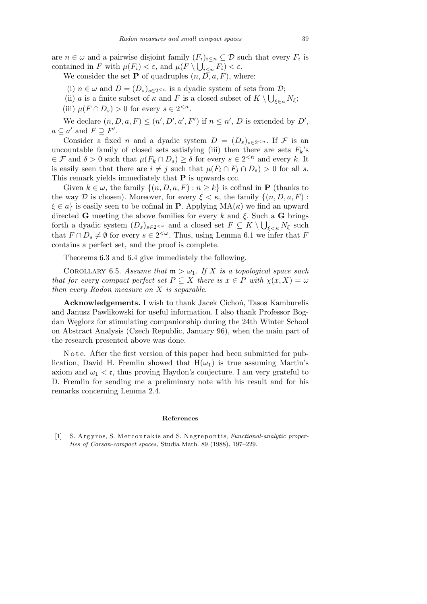are  $n \in \omega$  and a pairwise disjoint family  $(F_i)_{i \leq n} \subseteq \mathcal{D}$  such that every  $F_i$  is contained in *F* with  $\mu(F_i) < \varepsilon$ , and  $\mu(F \setminus \bigcup_{i \leq n} F_i) < \varepsilon$ .

We consider the set **P** of quadruples  $(n, \overline{D}, a, F)$ , where:

- (i)  $n \in \omega$  and  $D = (D_s)_{s \in 2^{ is a dyadic system of sets from  $D$ ;$
- (ii) *a* is a finite subset of *κ* and *F* is a closed subset of  $K \setminus \bigcup_{\xi \in a} N_{\xi}$ ;
- (iii)  $\mu(F \cap D_s) > 0$  for every  $s \in 2^{< n}$ .

We declare  $(n, D, a, F) \leq (n', D', a', F')$  if  $n \leq n', D$  is extended by  $D'$ ,  $a \subseteq a'$  and  $F \supseteq F'$ .

Consider a fixed *n* and a dyadic system  $D = (D_s)_{s \in 2^{. If F is an$ uncountable family of closed sets satisfying (iii) then there are sets  $F_k$ 's  $\in \mathcal{F}$  and  $\delta > 0$  such that  $\mu(F_k \cap D_s) \geq \delta$  for every  $s \in 2^{< n}$  and every *k*. It is easily seen that there are  $i \neq j$  such that  $\mu(F_i \cap F_j \cap D_s) > 0$  for all *s*. This remark yields immediately that **P** is upwards ccc.

Given  $k \in \omega$ , the family  $\{(n, D, a, F) : n \geq k\}$  is cofinal in **P** (thanks to the way *D* is chosen). Moreover, for every  $\xi < \kappa$ , the family  $\{(n, D, a, F)$ :  $\xi \in a$ <sup>}</sup> is easily seen to be cofinal in **P**. Applying  $MA(\kappa)$  we find an upward directed **G** meeting the above families for every *k* and *ξ*. Such a **G** brings S forth a dyadic system  $(D_s)_{s \in 2^{\lt \omega}}$  and a closed set  $F \subseteq K \setminus \bigcup_{\xi \le \kappa} N_{\xi}$  such that  $F \cap D_s \neq \emptyset$  for every  $s \in 2^{<\omega}$ . Thus, using Lemma 6.1 we infer that *F* contains a perfect set, and the proof is complete.

Theorems 6.3 and 6.4 give immediately the following.

COROLLARY 6.5. Assume that  $m > \omega_1$ . If X is a topological space such *that for every compact perfect set*  $P \subseteq X$  *there is*  $x \in P$  *with*  $\chi(x, X) = \omega$ *then every Radon measure on X is separable.*

Acknowledgements. I wish to thank Jacek Cichon, Tasos Kamburelis and Janusz Pawlikowski for useful information. I also thank Professor Bogdan Węglorz for stimulating companionship during the 24th Winter School on Abstract Analysis (Czech Republic, January 96), when the main part of the research presented above was done.

N o t e. After the first version of this paper had been submitted for publication, David H. Fremlin showed that  $H(\omega_1)$  is true assuming Martin's axiom and  $\omega_1 < \mathfrak{c}$ , thus proving Haydon's conjecture. I am very grateful to D. Fremlin for sending me a preliminary note with his result and for his remarks concerning Lemma 2.4.

#### **References**

[1] S. Argyros, S. Mercourakis and S. Negrepontis, *Functional-analytic properties of Corson-compact spaces*, Studia Math. 89 (1988), 197–229.